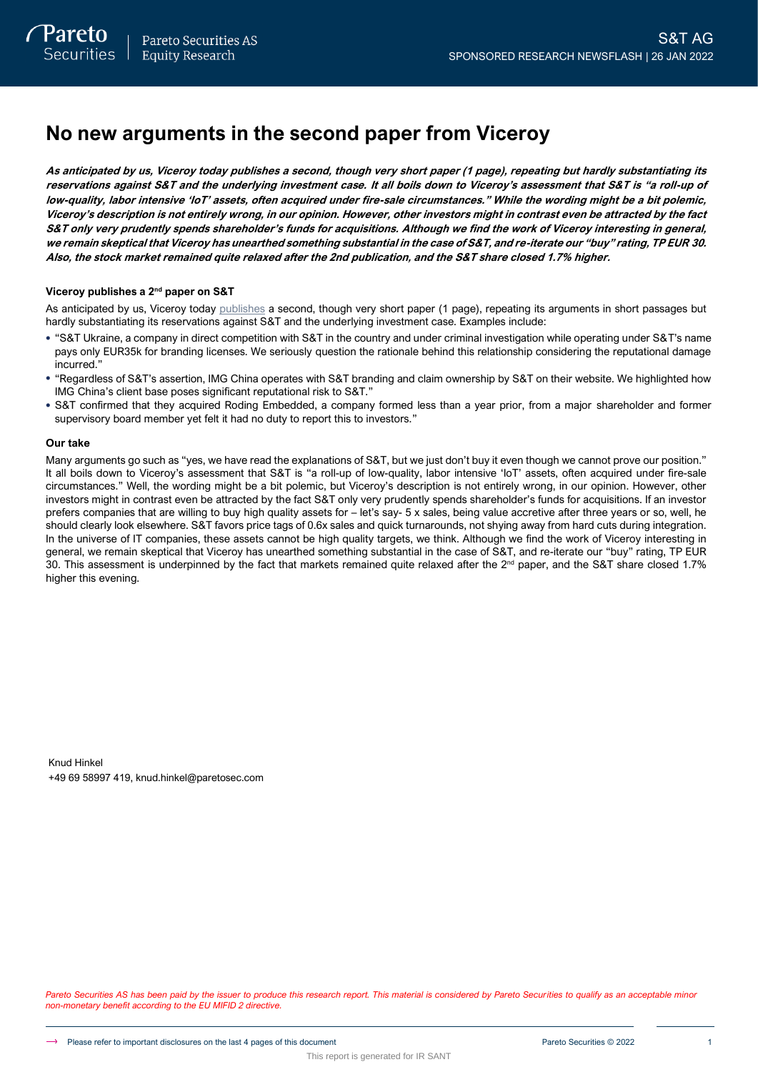# **No new arguments in the second paper from Viceroy**

**As anticipated by us, Viceroy today publishes a second, though very short paper (1 page), repeating but hardly substantiating its reservations against S&T and the underlying investment case. It all boils down to Viceroy's assessment that S&T is "a roll-up of low-quality, labor intensive 'IoT' assets, often acquired under fire-sale circumstances." While the wording might be a bit polemic, Viceroy's description is not entirely wrong, in our opinion. However, other investors might in contrast even be attracted by the fact S&T only very prudently spends shareholder's funds for acquisitions. Although we find the work of Viceroy interesting in general, we remain skeptical that Viceroy has unearthed something substantial in the case of S&T, and re-iterate our "buy" rating, TP EUR 30. Also, the stock market remained quite relaxed after the 2nd publication, and the S&T share closed 1.7% higher.**

## **Viceroy publishes a 2nd paper on S&T**

As anticipated by us, Viceroy today [publishes](https://viceroyresearch.org/wp-content/uploads/2022/01/Response-DRAFT-1.pdf) a second, though very short paper (1 page), repeating its arguments in short passages but hardly substantiating its reservations against S&T and the underlying investment case. Examples include:

- "S&T Ukraine, a company in direct competition with S&T in the country and under criminal investigation while operating under S&T's name pays only EUR35k for branding licenses. We seriously question the rationale behind this relationship considering the reputational damage incurred."
- "Regardless of S&T's assertion, IMG China operates with S&T branding and claim ownership by S&T on their website. We highlighted how IMG China's client base poses significant reputational risk to S&T."
- S&T confirmed that they acquired Roding Embedded, a company formed less than a year prior, from a major shareholder and former supervisory board member yet felt it had no duty to report this to investors."

### **Our take**

Many arguments go such as "yes, we have read the explanations of S&T, but we just don't buy it even though we cannot prove our position." It all boils down to Viceroy's assessment that S&T is "a roll-up of low-quality, labor intensive 'IoT' assets, often acquired under fire-sale circumstances." Well, the wording might be a bit polemic, but Viceroy's description is not entirely wrong, in our opinion. However, other investors might in contrast even be attracted by the fact S&T only very prudently spends shareholder's funds for acquisitions. If an investor prefers companies that are willing to buy high quality assets for – let's say- 5 x sales, being value accretive after three years or so, well, he should clearly look elsewhere. S&T favors price tags of 0.6x sales and quick turnarounds, not shying away from hard cuts during integration. In the universe of IT companies, these assets cannot be high quality targets, we think. Although we find the work of Viceroy interesting in general, we remain skeptical that Viceroy has unearthed something substantial in the case of S&T, and re-iterate our "buy" rating, TP EUR 30. This assessment is underpinned by the fact that markets remained quite relaxed after the  $2^{nd}$  paper, and the S&T share closed 1.7% higher this evening.

Knud Hinkel +49 69 58997 419, knud.hinkel@paretosec.com

Pareto Securities AS has been paid by the issuer to produce this research report. This material is considered by Pareto Securities to qualify as an acceptable minor *non-monetary benefit according to the EU MIFID 2 directive.*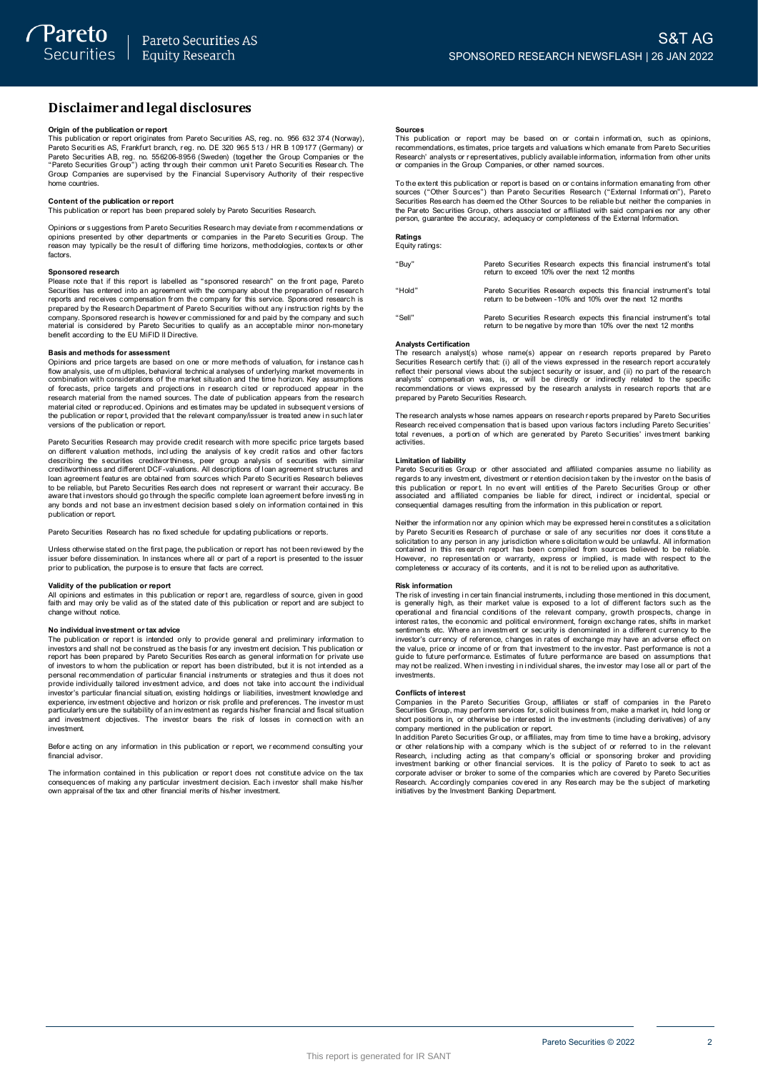# **Disclaimerandlegal disclosures Disclaimer and lega**<br>Origin of the publication or report<br>This publication or report originates

This publication or report originates from Pareto Securities AS, reg. no. 956 632 374 (Norway), **DISCIAIMET AND LEGAI DISCIOSUTES**<br>Prigin of the publication or report<br>This publication or report originates from Pareto Securities AS, reg. no. 956 632 374 (Norway)<br>Pareto Securities AS, Frankfurt branch, reg. no. DE 320 Pareto Securities AB, reg. no. 556206-8956 (Sweden) (together the Group Companies or the "Pareto Securities AB, reg. no. 556206-8956 (Sweden) (together the Group Companies or the "Pareto Securities Group") acting through t **Origin of the publication or report**<br>This publication or report originates from Pareto Securities AS, reg. no. 956 632 374 (Norway) or<br>Pareto Securities AS, Frankfurt branch, reg. no. DE 320 965 513 / HR B 109177 (Germany home countries. **Content of the publication or report**<br> **Content of the publication or report**<br> **Content of the publication or report**<br> **Content of the publication or report**<br> **This publication or report**<br> **Content of the publication or r** 

Content of the publication or report<br>This publication or report has been prepared solely by Pareto Securities Research.<br>Opinions or suggestions from Pareto Securities Research may deviate from recommendations Content of the publication or report<br>This publication or report has been prepared solely by Pareto Securities Research.<br>Opinions or suggestions from Pareto Securities Research may deviate from recommendations or<br>perinons p factors.

### **Sponsored research**

Sphering the result of differing time horizons, methodologies, cortexts or other<br>reason may typically be the result of differing time horizons, methodologies, cortexts or other<br>factors.<br>Sponsored research<br>Please note that **Please note that if this report is labelled as "sponsored research" on the front page, Pareto Securities has entered into an agreement with the company about the preparation of research Securities has entered into an agre** Continuity: Considered by Pareto Securities to qualify as an acceptable minor non-monetary<br>benefit according to the EU MiFID II Directive.<br>**Basis and methods for assessment**<br>Opinions and price targets are based on one or m

### **Basis and methods for assessment**

benefit according to the EU MiFID II Directive.<br> **Basis and methods for assessment**<br>
Opinions and price targets are based on one or more methods of valuation, for instance cash<br>
flow analysis, use of multiples, behavioral research material from the named sources. The date of publication appears from the research flow analysis, use of multiples, behavioral technical analyses of underlying market movements in<br>combination with considerations of the market situation and the time horizon. Key assumptions<br>of forecasts, price targets and of forecasts, price targets and projections in research cited or reproduced appear in the research material from the named sources. The date of publication appears from the research material cited or reproduced. Opinions a versions of the publication or report.

Pareto Securities Research may provide credit research with more specific price targets based on different valuation methods, incl uding the analysis of key credit ratios and other factors Persions of the publication or report.<br>Pareto Securities Research may provide credit research with more specific price targets based<br>on different valuation methods, including the analysis of key credit ratios and other fac I can agreement features are obtained from sources which Pareto Securities Research believes<br>to be reliable, but Pareto Securities Research does not represent or warrant their accuracy. Be<br>aware that investors should go th publication or report.

Pareto Securities Research has no fixed schedule for updating publications or reports.

Unless otherwise stated on the first page, the publication or reports.<br>Unless otherwise stated on the first page, the publication or report has not been revi ewed by the<br>issuer before dissemination. In instances where all Pareto Securities Research has no fixed schedule for updating pul<br>Unless otherwise stated on the first page, the publication or report<br>issuer before dissemination. In instances where all or part of a re<br>prior to publicatio Unless otherwise stated on the first passer before dissemination. In instand<br>prior to publication, the purpose is to<br>**Validity of the publication or report**<br>All opinions and estimates in this put

In this publication. In instances where all or part of a report is presented to the issuer<br>prior to publication, the purpose is to ensure that facts are correct.<br>**Validity of the publication or report**<br>All opinions and est change without notice. **N optimize that the publication or report are, regardless of source, given in good<br>faith and may only be valid as of the stated date of this publication or report and are subject to<br>change without notice.<br>The publication** 

change without notice.<br>
No individual investment or tax advice<br>
The publication or report is intended only to provide general and preliminary information to<br>
investors and shall not be construed as the basis for any invest The publication or report is intended only to provide general and preliminary information to investors and shall not be construed as the basis for any investment decision. This publication or investors and shall not be con For the properties of investors to whom the publication or report has been distributed, but it is not intended as a personal recommendation of particular financial instruments or strategies and thus it does not provide ind investment. Separation, in connect or position and particularly ensure the suitability of an investment as regards his/her financial and fiscal situation and investment objectives. The investor bears the risk of losses in connection w

financial advisor. Before acting on any information in this publication or report, we recommend consulting your<br>financial advisor.<br>The information contained in this publication or report does not constitute advice on the tax

Before acting on any information in this publication or report, we recommend consulting your<br>financial advisor.<br>Consequences of making any particular investment decision. Each investor shall make his/her<br>consequences of ma

### **Sources**

**Sources**<br>This publication or report may be based on or contain information, such as opinions,<br>recommendations, estimates, price targets and valuations which emanate from Pareto Securities<br>Research' analysts or representat The extent this publication or representatives, publicly available information from Pareto Securities<br>Research' analysts or representatives, publicly available information, information from other units<br>or companies in the

Research' analysts or representatives, publicly available information, information from other units<br>or companies in the Group Companies, or other named sources.<br>To the extent this publication or report is based on or conta To the extent this publication or report is based on or contains information emanating from others sources ("Other Sources") than Pareto Securities Research ("External Information"), Pareto<br>Securities Research has deem ed

### **Ratings** Equity ratings:

| "Buy"  | Pareto Securities Research expects this financial instrument's total<br>return to exceed 10% over the next 12 months                   |
|--------|----------------------------------------------------------------------------------------------------------------------------------------|
| "Hold" | Pareto Securities Research expects this financial instrument's total<br>return to be between -10% and 10% over the next 12 months      |
| "Sell" | Pareto Securities Research expects this financial instrument's total<br>return to be negative by more than 10% over the next 12 months |

### **Analysts Certification**

The research analyst(s) whose name(s) appear on research reports prepared by Pareto Securities Research certify that: (i) all of the views expressed in the research report accurately reflect their personal views about the subject security or issuer, and (ii) no part of the research Analysts Certification<br>The research analyst(s) whose name(s) appear on research reports prepared by Pareto<br>Securities Research certify that (i) all of the views expressed in the research report accurately<br>reflect their per The research analysts compensation was, is, or will be directly or indirectly related to the specific<br>recommendations or views expressed by the research analysts in research reports that are<br>prepared by Pareto Securities R

recommendations or views expressed by the research analysts in research reports that are<br>prepared by Pareto Securities Research.<br>The research analysts whose names appears on research reports prepared by Pareto Securities<br>t activities.

Research received compensation that is based upon various factors including Pareto Securities'<br>total revenues, a portion of which are generated by Pareto Securities' investment banking<br>activities.<br>Limitation of liability<br>P **Limitation of liability**<br>Pareto Securities Group or other associated and affiliated companies assume no liability as<br>regards to any investment, divestment or retention decision taken by the investor on the basis of<br>this p Neither the information or report. In no event will entities of the Pareto Securities Group or other<br>associated and affiliated companies be liable for direct, indirect or incidental, special or<br>consequential damages result

consequential damages resulting from the information in this publication or report.<br>Neither the information nor any opinion which may be expressed herein constitutes a solicitation<br>by Pareto Securities Research of purchase

### **Risk information**

However, no representation or warranty, express or implied, is made with respect to the<br>completeness or accuracy of its contents, and it is not to be relied upon as authoritative.<br> **Risk information**<br> **Risk information**<br>
T guide to future performance. Estimates of future performance are based on assumptions that marks the content and publication of security is denominated in a different currency to the investor's currency of reference, changes in rates of exchange may have an adverse effect on the value, price or income of or from investments. **Conflicts** of interest in the Performance. Estimates of future performance are based on assumptions that may not be realized. When investing in individual shares, the investor may lose all or part of the investments.<br> **Co** 

Fronties Group, may perform services Group, affiliates or staff of companies in the Pareto<br>
Securities Group, may perform services for, solicit business from, make a market in, hold long or<br>
Short positions in, or otherwis **Comflicts of interest**<br>Companies in the Pareto Securities Group, affiliates or staff of companies in the Pareto<br>Securities Group, may perform services for, solicit business from, make a market in, hold long or<br>short posit Companies in the Pareto Securities Group, affiliates or staff of companies in the Pareto Securities Group, may perform services for, solicit business from, make a market in, hold long or short positions in, or otherwise be

or other relations hip with a company which is the subject of or referred to in the relevant short positions in, or otherwise be interested in the linvestments (including derivatives) of any<br>short positions in, or otherwise be interested in the linvestments (including derivatives) of any<br>company mentioned in the p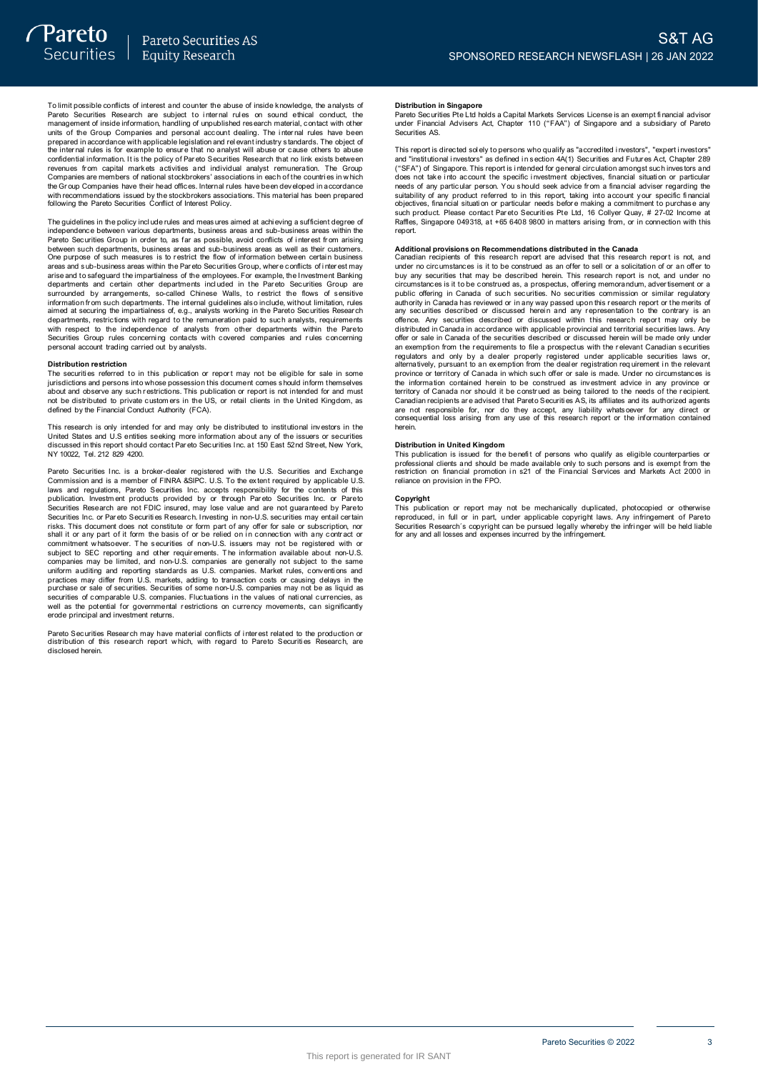To limit possible conflicts of interest and counter the abuse of inside knowledge, the analysts of<br>Pareto Securities Research are subject to internal rules on sound ethical conduct, the<br>management of inside information, ha To limit possible conflicts of interest and counter the abuse of inside knowledge, the analysts of Pareto Securities Research are subject to internal rules on sound ethical conduct, the management of inside information, ha revenues from capital markets activities and individual analyst remuneration. The Group and or the Chapter of the price with applicable legislation and relevant industry standards. The object of the internal rules is for example to ensure that no analyst will abuse or cause others to abuse the internal rules following the Pareto Securities Conflict of Interest Policy. The Group Companies have their head offices. Internal rules have been developed in accordance<br>with recommendations issued by the stockbrokers associations. This material has been prepared<br>following the Pareto Securities Co

independence between various departments, business areas and sub-business areas within the<br>Pareto Securities Group in order to, as far as possible, avoid conflicts of interest from arising Following the Pareto Securities Conflict of Interest Policy.<br>The guidelines in the policy include rules and measures aimed at achieving a sufficient degree of<br>independence between various departments, business areas and su between such departments, business areas and sub-business areas as well as their customers. The guidelines in the policy include rules and measures aimed at achieving a sufficient degree of such measures areas and sub-business areas within the Pareto Securities Group in order to, as far as possible, avoid conflic metro. Securities Group in order to, as far as possible, avoid conflicts of interest from arising<br>between such departments, business areas and sub-business areas as well as their customers.<br>One purpose of such measures is arias and to safeguard the impartialness of the employees. For example, the linvestment Banking departments and certain other departments included in the Pareto Securities Group are surrounded by arrangements, so-called Ch with respect to the independence of analysts from other departments within the Pareto Securities Group and departments. The internal guidelines also include, without limitation, rules aimed at security the impartialness of, e.g., analysts working in the Pareto Securities Research departments, restrictions w mioniano in such ceparations. The interiar<br>aimed at securing the impartialness of, e.g., analysts.<br>departments, restrictions with regard to the ren<br>Securities Group rules concerning contacts w<br>personal account trading carr The securities Group rules concerning contacts with covered companies and rules concerning<br>personal account trading carried out by analysts.<br>The securities referred to in this publication or report may not be eligible for

**Distribution restriction** jurisdictions and persons into whose possession this document comes s hould inform themselves Distribution restriction<br>The securities referred to in this publication or report may not be eligible for sale in some<br>initial citios referred to in this publication or report may not be eligible for sale in some<br>initial c This research is only intended for and must be distributed to private intended for and must<br>not be distributed to private customers in the US, or retail clients in the United Kingdom, as<br>defined by the Financial Conduct Au

United States and U.S entities seeking more information about any of the issuers or securities Note that the financial Conduct Authority (FCA).<br>This research is only intended for and may only be distributed to institutional investors in the<br>United States and U.S entities seking more information about any of the issu Pareto Securities Inc. is a broker-dealer registered with the U.S. Securities inc. in the same of securities discussed in this report should contact Pareto Securities Inc. at 150 East 52nd Street, New York, NY 10022, Tel.

of also used in this report should contact Pareto Securities Inc. at 150 East 52nd Street, New York, NY 10022, Tel. 212 829 4200.<br>NY 10022, Tel. 212 829 4200.<br>Commission and is a member of FINRA &SIPC. U.S. To the extent r Pareto Securities Inc. is a broker-dealer registered with the U.S. Securities and Exchange<br>Commission and is a member of FINRA &SIPC. U.S. To the extent required by applicable U.S<br>Idwas and regulations, Pareto Securities I Securities Research are not FDIC insured, may lose value and are not guaranteed by Pareto<br>Securities Research are not FDIC insured, may lose value and are not guaranteed by Pareto<br>Securities Inc. or Pareto Securities Resea prominent whatsoever. The securities of non-U.S. issuers may not be registered with or subject to SEC reporting and other requirements. The information available about non-U.S. companies may be limited, and non-U.S. compan securities of comparies may be limited, and non-U.S. companies are generally not subject to the same<br>uniform auditing and reporting standards as U.S. companies. Market rules, conventions and<br>practices may differ form U.S. erode principal and investment returns. pareto Securities of comparable U.S. comparises. Fluctuations in the values of rational currencies, as<br>well as the potential for governmental restrictions on currency movements, can significantly<br>erode principal and invest

disclosed herein.

### **Distribution in Singapore**

**Distribution in Singapore**<br>Pareto Securities Pte Ltd holds a Capital Markets Services License is an exempt financial advisor<br>under Financial Advisers Act, Chapter 110 ("FAA") of Singapore and a subsidiary of Pareto under Financial Advisers Act, Chapter 110 ("FAA") of Singapore and a subsidiary of Pareto Securities AS. Pareto Securities Pte Ltd holds a Capital Markets Services License is an exempt financial advisor<br>under Financial Advisers Act, Chapter 110 ("FAA") of Singapore and a subsidiary of Pareto<br>Securities AS.<br>This report is dire

ration conditions and a subsidiary of Parent uncertained solutions and a subsidiary of Parent<br>securities AS.<br>This report is directed solely to persons who qualify as "accredited investors", "expert investors"<br>and "institut and "institutional investors" as defined in section 4A(1) Securities and Futures Act, Chapter 289<br>("SFA") of Singapore. This report is intended for general circulation amongst such investors and<br>("SFA") of Singapore. This Raffles, Singapore 049318, at +65 6408 9800 in matters arising from, or in connection with this<br>Renort.

such product. Please contact Pareto Securities Pte Ltd, 16 Collyer Quay, # 27-02 Income at<br>such product. Please contact Pareto Securities Pte Ltd, 16 Collyer Quay, # 27-02 Income at<br>Raffles, Singapore 049318, at +65 6408 9 under no circumstances is it to be construed as an offer to sell or a solicitation of or an offer to buy any securities that may be described herein. This research report is not, and under no circumstances is it to be cons under no circumstances is it to be construed as an offer to sell or a solicitation of or an offer to<br>buy any securities that may be described herein. This research report is not, and under no<br>circumstances is it to be cons offence. Any securities described or discussed within this research report may only be distributed in Canada in accordance with applicable provincial and territorial securities laws. Any offer or sale in Canada of the secu offence. Any securities described or discussed within this research report may only be distributed in Canada in accordance with applicable provincial and territorial securities laws. Any offer or sale in Canada of the secu province or territory of Canada in which such offer or sale is made. Under no circumstances is<br>the information contained herein to be construed as being tailored to the needs of the recipient.<br>Carritory of Canada nor shoul province or territory of Canada in which such offer or sale is made. Under no circumstances is<br>province or territory of Canada in which such offer or sale is made. Under no circumstances is<br>territory of Canada nor should i herein.

**Distribution in United Kingdom** professional clients and should be made available only to such persons and is exempt from the metriction on financial promotion in s21 of the Financial Services and Markets Act 2000 in reliance on provision in the FPO. Frestriction on financial promotion in s21 of the Financial Services and Markets Act 2000 in<br>reliance on provision in the FPO.<br>Copyright<br>This publication or report may not be mechanically duplicated, photocopied or otherwi

Copyright<br>This publication or report may not be mechanically duplicated, photocopied or otherwise reliance on provision in the FPO.<br> **Copyright**<br>
This publication or report may not be mechanically duplicated, photocopied or otherwise<br>
reproduced, in full or in part, under applicable copyright laws. Any infringement of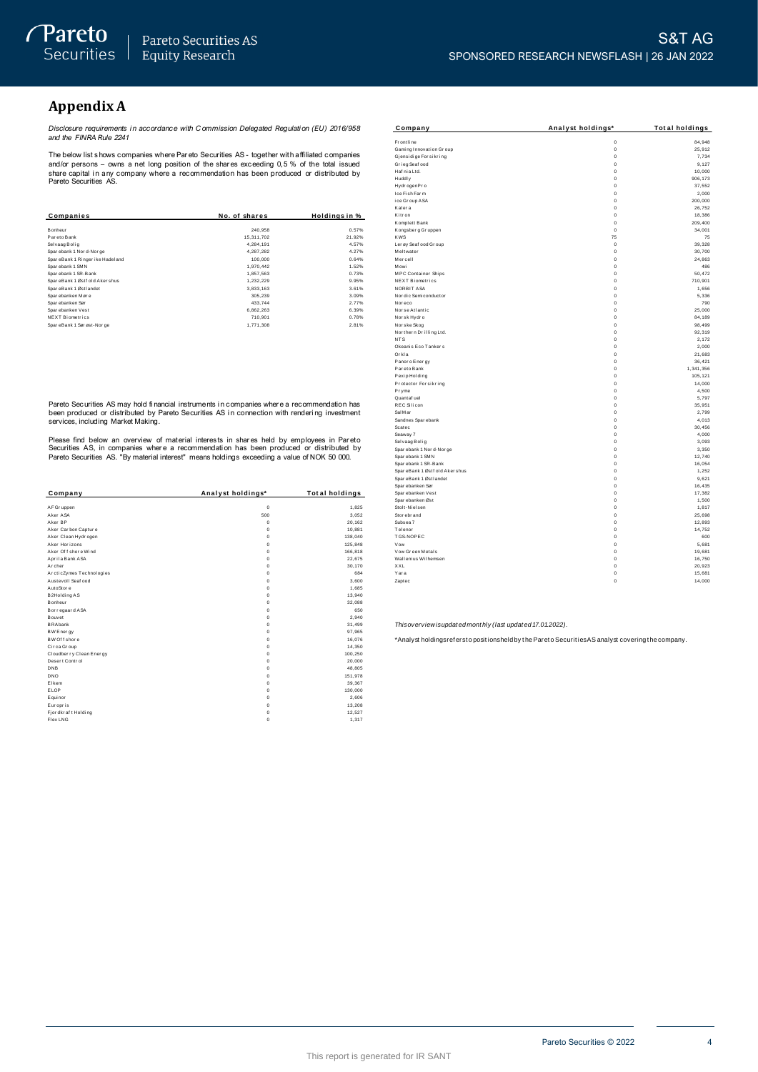## **Appendix A**

Disclosure requirements in accordance with Commission Delegated Regulation (EU) 2016/958<br>and the FINRA Rule 2241

The below list shows companies where Pareto Securities AS - together with affiliated companies The better with a mindler particle with the Fat at above contribute. As - together with a imitated companies<br>and/or persons – owns a net long position of the shares exceeding 0,5 % of the total issued<br>share capital in any

| Companies                       | No. of shares | Holdings in % |
|---------------------------------|---------------|---------------|
|                                 |               |               |
| Bonheur                         | 240.958       | 0.57%         |
| Pareto Bank                     | 15.311.702    | 21.92%        |
| Selvaag Bolig                   | 4.284.191     | 4.57%         |
| Spar ebank 1 Nor d-Nor ge       | 4.287.282     | 4.27%         |
| SpareBank 1 Ringer ike Hadeland | 100.000       | 0.64%         |
| Sparebank 1 SMN                 | 1.970.442     | 1.52%         |
| Sparebank 1 SR-Bank             | 1.857.563     | 0.73%         |
| SpareBank 1 Østf old Aker shus  | 1.232.229     | 9.95%         |
| SpareBank 1 Østlandet           | 3.833.163     | 3.61%         |
| Sparebanken Møre                | 305.239       | 3.09%         |
| Spar ebanken Sør                | 433.744       | 2.77%         |
| Sparebanken Vest                | 6.862.263     | 6.39%         |
| <b>NEXT Biometrics</b>          | 710.901       | 0.78%         |
| SpareBank 1 Sør øst-Nor ge      | 1.771.308     | 2.81%         |

Pareto Securities AS may hold financial instruments in companies where a recommendation has been produced or distributed by Pareto Securities AS in connection with rendering investment<br>services, including Market Making.

Please find below an overview of material interests in shares held by employees in Pareto<br>Securities AS, in companies where a recommendation has been produced or distributed by<br>Pareto Securities AS. "By material interest"

| Company                  | Analyst holdings* | <b>Total holdings</b> |
|--------------------------|-------------------|-----------------------|
|                          |                   |                       |
| AF Gr uppen              | $\mathbf 0$       | 1,825                 |
| Aker ASA                 | 500               | 3,052                 |
| Aker RP                  | $\Omega$          | 20,162                |
| Aker Carbon Capture      | $\Omega$          | 10,881                |
| Aker Clean Hydrogen      | $\mathbf 0$       | 138,040               |
| Aker Horizons            | $\mathbf 0$       | 125,848               |
| Aker Of f shore Wind     | $\Omega$          | 166,818               |
| Aprila Bank ASA          | $\mathbf 0$       | 22.675                |
| Archer                   | $\Omega$          | 30,170                |
| ArcticZymes Technologies | $\Omega$          | 684                   |
| Austevoll Seaf ood       | $\mathbf 0$       | 3.600                 |
| AutoStore                | $\mathbf 0$       | 1,685                 |
| B2Holding AS             | $\Omega$          | 13,940                |
| Bonheur                  | $\mathbf 0$       | 32,088                |
| Bor regaar d ASA         | $\mathbf 0$       | 650                   |
| Bouvet                   | $\mathbf 0$       | 2.940                 |
| <b>BRAbank</b>           | $\mathbf 0$       | 31,499                |
| <b>BW Energy</b>         | $\mathbf 0$       | 97,965                |
| BW Of f shore            | $\mathbf 0$       | 16,076                |
| Circa Group              | $\Omega$          | 14,350                |
| Cloudberry Clean Energy  | $\mathbf 0$       | 100,250               |
| Desert Control           | $\mathbf 0$       | 20,000                |
| <b>DNB</b>               | $\Omega$          | 48,805                |
| <b>DNO</b>               | $\mathbf 0$       | 151,978               |
| Elkem                    | $\mathbf 0$       | 39,367                |
| ELOP                     | $\Omega$          | 130,000               |
| E qui nor                | $\Omega$          | 2,606                 |
| Europris                 | $\mathbf 0$       | 13,208                |
| Fjordkraft Holding       | $\mathbf 0$       | 12,527                |
| Flex LNG                 | $\mathbf 0$       | 1,317                 |

| Company                       | Analyst holdings*          | Total holdings   |
|-------------------------------|----------------------------|------------------|
| Fr ontline                    | $\mathbf 0$                | 84,948           |
| Gaming Innovation Group       | $\mathbf 0$                | 25,912           |
| Gjensidige For sikring        | $\mathbf 0$                | 7,734            |
| Grieg Seaf ood                | $\mathbf 0$                | 9,127            |
| Haf nia Ltd.                  | $\mathbf 0$                | 10,000           |
| Huddly                        | $\mathbf 0$                | 906.173          |
| Hydr ogenPr o                 | $\mathbf 0$                | 37,552           |
| Ice Fish Farm                 | $\mathbf 0$                | 2,000            |
| ice Group ASA                 | $\mathbf 0$                | 200,000          |
| Kalera                        | $\mathbf 0$                | 26.752           |
| Kitr on                       | $\mathbf 0$                | 18,386           |
| Komplett Bank                 | $\mathbf 0$                | 209,400          |
| Kongsberg Gruppen             | $\Omega$                   | 34,001           |
| <b>KWS</b>                    | 75                         | 75               |
| Ler øy Seaf ood Gr oup        | $\mathbf 0$                | 39,328           |
| Meltwater                     | $\mathbf 0$                | 30,700           |
| Mercell                       | $\mathbf 0$                | 24.863           |
| Mowi                          | $\mathbf 0$                | 486              |
| <b>MPC Container Ships</b>    | $\mathbf 0$                | 50,472           |
| NEXT Biometrics               | $\mathbf 0$                | 710.901          |
| NORBIT ASA                    | $\mathbf 0$                | 1,656            |
| Nor dic Semi conductor        | $\mathbf 0$                | 5,336            |
| Nor eco                       | $\mathbf 0$                | 790              |
| Nor se Atlantic               | $\mathbf 0$                | 25.000           |
| Norsk Hydro                   | $\mathbf 0$                | 84,189           |
| Nor ske Skog                  | $\mathbf 0$                | 98,499           |
| Nor ther n Drilling Ltd.      | $\mathbf 0$                | 92,319           |
| NT <sub>S</sub>               | $\mathbf 0$                | 2,172            |
| Okeanis Eco Tankers           | Ó                          | 2,000            |
| Orkla<br>Panor o Ener gy      | $\mathbf 0$<br>$\mathbf 0$ | 21,683<br>36.421 |
| Par eto Bank                  | $\mathbf 0$                | 1.341.356        |
| Pexip Holding                 | $\mathbf 0$                | 105, 121         |
| Protector Forsikring          | $\mathbf 0$                | 14,000           |
| Pryme                         | $\mathbf 0$                | 4,500            |
| Quantaf uel                   | Ó                          | 5,797            |
| <b>REC Silicon</b>            | $\mathbf 0$                | 35,951           |
| Sal M ar                      | $\mathbf 0$                | 2,799            |
| Sandnes Spar ebank            | $\mathbf 0$                | 4.013            |
| Scatec                        | $\mathbf 0$                | 30,456           |
| Seaway 7                      | $\mathbf 0$                | 4,000            |
| Selvaag Bolig                 | $\mathbf 0$                | 3,093            |
| Sparebank 1 Nor d-Nor ge      | Ó                          | 3,350            |
| Spar ebank 1 SMN              | $\mathbf 0$                | 12,740           |
| Spar ebank 1 SR-Bank          | $\mathbf 0$                | 16,054           |
| SpareBank 1 Østf old Akershus | $\mathbf 0$                | 1.252            |
| SpareBank 1 Østlandet         | $\mathbf 0$                | 9,621            |
| Spar ebanken Sør              | $\mathbf 0$                | 16,435           |
| Spar ebanken Vest             | $\mathbf 0$                | 17,382           |
| Spar ebanken Øst              | Ó                          | 1,500            |
| Stolt-Nielsen                 | $\mathbf 0$                | 1.817            |
| Stor ebr and                  | $\mathbf 0$                | 25,698           |
| Subsea 7                      | $\mathbf 0$                | 12.893           |
| Telenor<br>TGS-NOPEC          | $\mathbf 0$<br>$\mathbf 0$ | 14,752<br>600    |
| Vow                           | $\mathbf 0$                | 5.681            |
| Vow Green Metals              | $\mathbf 0$                | 19,681           |
| Wallenius Wilhemsen           | $\mathbf 0$                | 16,750           |
| X X I                         | $\mathbf 0$                | 20,923           |
| Yara                          | Ó                          | 15.681           |
| Zaptec                        | Ó                          | 14,000           |
|                               |                            |                  |

Thisoverview isupdated monthly (last updated 17.01.2022).

\*Analyst holdingsrefersto positionsheld by the Pareto Securities AS analyst covering the company.